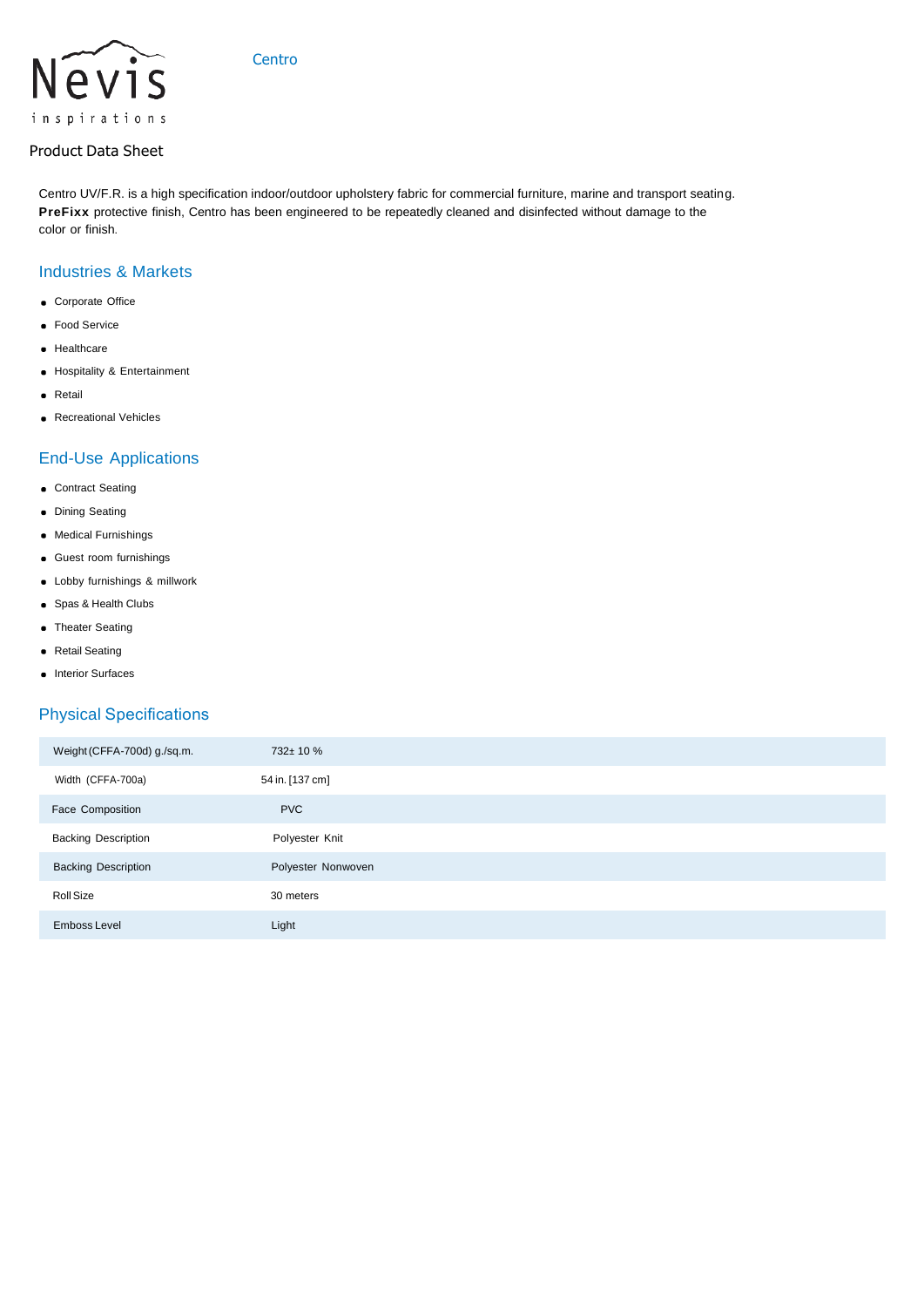

## Product Data Sheet

Centro UV/F.R. is a high specification indoor/outdoor upholstery fabric for commercial furniture, marine and transport seating. PreFixx protective finish, Centro has been engineered to be repeatedly cleaned and disinfected without damage to the color or finish.

#### Industries & Markets

- **c** Corporate Office
- **•** Food Service
- **e** Healthcare
- Hospitality & Entertainment
- **•** Retail
- **Recreational Vehicles**

#### End-Use Applications

- **c** Contract Seating
- **•** Dining Seating
- Medical Furnishings
- Guest room furnishings
- Lobby furnishings & millwork
- Spas & Health Clubs
- **•** Theater Seating
- Retail Seating
- **·** Interior Surfaces

# Physical Specifications

| Weight (CFFA-700d) g./sq.m. | 732± 10 %          |
|-----------------------------|--------------------|
| Width (CFFA-700a)           | 54 in. [137 cm]    |
| Face Composition            | <b>PVC</b>         |
| <b>Backing Description</b>  | Polyester Knit     |
| <b>Backing Description</b>  | Polyester Nonwoven |
| Roll Size                   | 30 meters          |
| Emboss Level                | Light              |